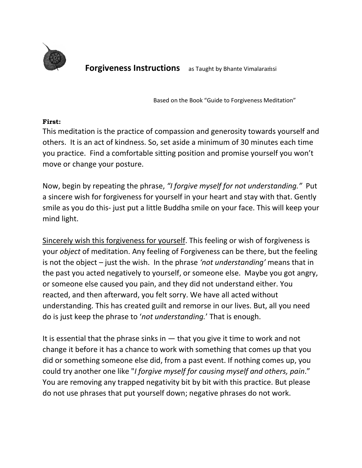

**Forgiveness Instructions** as Taught by Bhante Vimalaramsi

Based on the Book "Guide to Forgiveness Meditation"

#### **First:**

This meditation is the practice of compassion and generosity towards yourself and others. It is an act of kindness. So, set aside a minimum of 30 minutes each time you practice. Find a comfortable sitting position and promise yourself you won't move or change your posture.

Now, begin by repeating the phrase, *"I forgive myself for not understanding."* Put a sincere wish for forgiveness for yourself in your heart and stay with that. Gently smile as you do this- just put a little Buddha smile on your face. This will keep your mind light.

Sincerely wish this forgiveness for yourself. This feeling or wish of forgiveness is your *object* of meditation. Any feeling of Forgiveness can be there, but the feeling is not the object – just the wish. In the phrase *'not understanding'* means that in the past you acted negatively to yourself, or someone else. Maybe you got angry, or someone else caused you pain, and they did not understand either. You reacted, and then afterward, you felt sorry. We have all acted without understanding. This has created guilt and remorse in our lives. But, all you need do is just keep the phrase to '*not understanding.*' That is enough.

It is essential that the phrase sinks in  $-$  that you give it time to work and not change it before it has a chance to work with something that comes up that you did or something someone else did, from a past event. If nothing comes up, you could try another one like "*I forgive myself for causing myself and others, pain*." You are removing any trapped negativity bit by bit with this practice. But please do not use phrases that put yourself down; negative phrases do not work.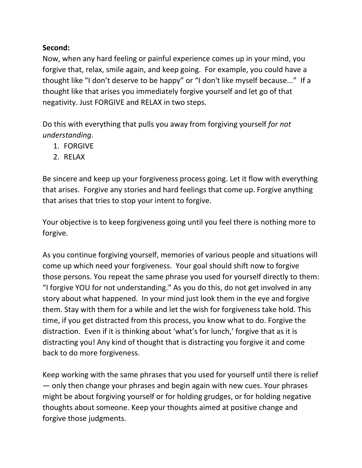### **Second:**

Now, when any hard feeling or painful experience comes up in your mind, you forgive that, relax, smile again, and keep going. For example, you could have a thought like "I don't deserve to be happy" or "I don't like myself because..." If a thought like that arises you immediately forgive yourself and let go of that negativity. Just FORGIVE and RELAX in two steps.

Do this with everything that pulls you away from forgiving yourself *for not understanding*.

- 1. FORGIVE
- 2. RELAX

Be sincere and keep up your forgiveness process going. Let it flow with everything that arises. Forgive any stories and hard feelings that come up. Forgive anything that arises that tries to stop your intent to forgive.

Your objective is to keep forgiveness going until you feel there is nothing more to forgive.

As you continue forgiving yourself, memories of various people and situations will come up which need your forgiveness. Your goal should shift now to forgive those persons. You repeat the same phrase you used for yourself directly to them: "I forgive YOU for not understanding." As you do this, do not get involved in any story about what happened. In your mind just look them in the eye and forgive them. Stay with them for a while and let the wish for forgiveness take hold. This time, if you get distracted from this process, you know what to do. Forgive the distraction. Even if it is thinking about 'what's for lunch,' forgive that as it is distracting you! Any kind of thought that is distracting you forgive it and come back to do more forgiveness.

Keep working with the same phrases that you used for yourself until there is relief — only then change your phrases and begin again with new cues. Your phrases might be about forgiving yourself or for holding grudges, or for holding negative thoughts about someone. Keep your thoughts aimed at positive change and forgive those judgments.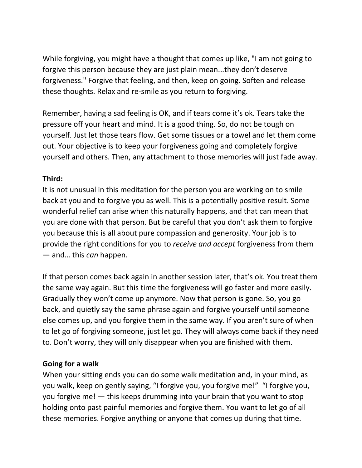While forgiving, you might have a thought that comes up like, "I am not going to forgive this person because they are just plain mean...they don't deserve forgiveness." Forgive that feeling, and then, keep on going. Soften and release these thoughts. Relax and re-smile as you return to forgiving.

Remember, having a sad feeling is OK, and if tears come it's ok. Tears take the pressure off your heart and mind. It is a good thing. So, do not be tough on yourself. Just let those tears flow. Get some tissues or a towel and let them come out. Your objective is to keep your forgiveness going and completely forgive yourself and others. Then, any attachment to those memories will just fade away.

# **Third:**

It is not unusual in this meditation for the person you are working on to smile back at you and to forgive you as well. This is a potentially positive result. Some wonderful relief can arise when this naturally happens, and that can mean that you are done with that person. But be careful that you don't ask them to forgive you because this is all about pure compassion and generosity. Your job is to provide the right conditions for you to *receive and accept* forgiveness from them — and… this *can* happen.

If that person comes back again in another session later, that's ok. You treat them the same way again. But this time the forgiveness will go faster and more easily. Gradually they won't come up anymore. Now that person is gone. So, you go back, and quietly say the same phrase again and forgive yourself until someone else comes up, and you forgive them in the same way. If you aren't sure of when to let go of forgiving someone, just let go. They will always come back if they need to. Don't worry, they will only disappear when you are finished with them.

# **Going for a walk**

When your sitting ends you can do some walk meditation and, in your mind, as you walk, keep on gently saying, "I forgive you, you forgive me!" "I forgive you, you forgive me! — this keeps drumming into your brain that you want to stop holding onto past painful memories and forgive them. You want to let go of all these memories. Forgive anything or anyone that comes up during that time.